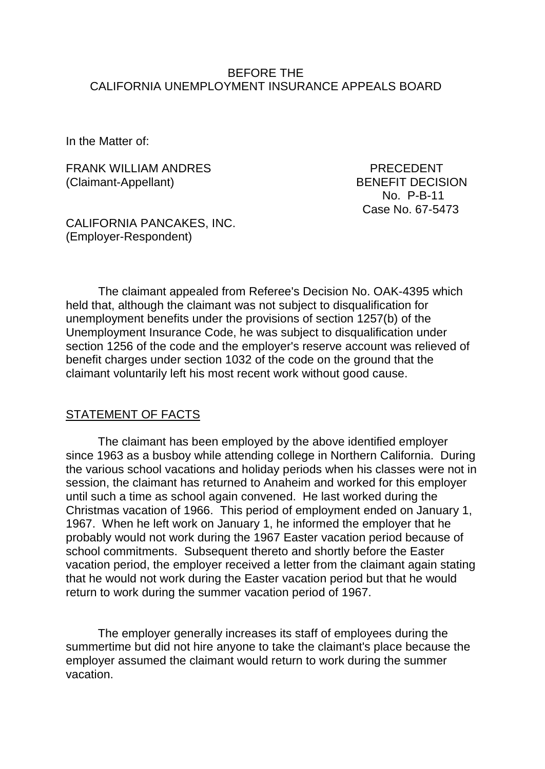### BEFORE THE CALIFORNIA UNEMPLOYMENT INSURANCE APPEALS BOARD

In the Matter of:

FRANK WILLIAM ANDRES PRECEDENT (Claimant-Appellant) BENEFIT DECISION

 No. P-B-11 Case No. 67-5473

CALIFORNIA PANCAKES, INC. (Employer-Respondent)

The claimant appealed from Referee's Decision No. OAK-4395 which held that, although the claimant was not subject to disqualification for unemployment benefits under the provisions of section 1257(b) of the Unemployment Insurance Code, he was subject to disqualification under section 1256 of the code and the employer's reserve account was relieved of benefit charges under section 1032 of the code on the ground that the claimant voluntarily left his most recent work without good cause.

#### STATEMENT OF FACTS

The claimant has been employed by the above identified employer since 1963 as a busboy while attending college in Northern California. During the various school vacations and holiday periods when his classes were not in session, the claimant has returned to Anaheim and worked for this employer until such a time as school again convened. He last worked during the Christmas vacation of 1966. This period of employment ended on January 1, 1967. When he left work on January 1, he informed the employer that he probably would not work during the 1967 Easter vacation period because of school commitments. Subsequent thereto and shortly before the Easter vacation period, the employer received a letter from the claimant again stating that he would not work during the Easter vacation period but that he would return to work during the summer vacation period of 1967.

The employer generally increases its staff of employees during the summertime but did not hire anyone to take the claimant's place because the employer assumed the claimant would return to work during the summer vacation.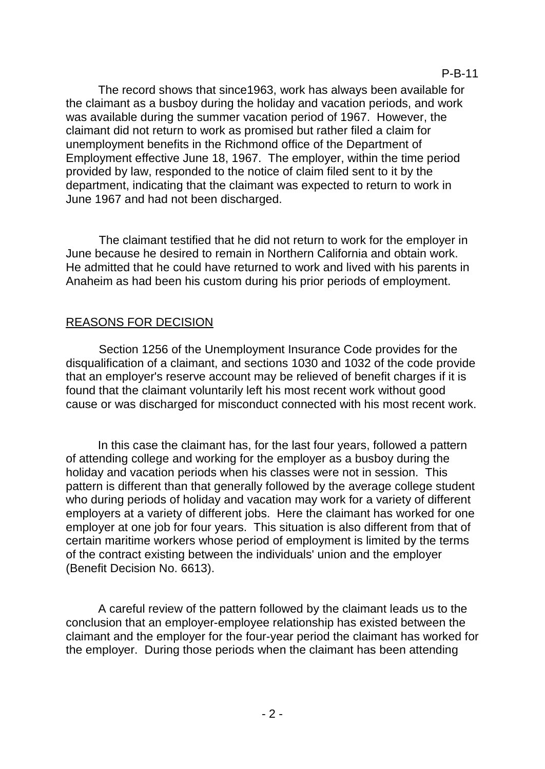The record shows that since1963, work has always been available for the claimant as a busboy during the holiday and vacation periods, and work was available during the summer vacation period of 1967. However, the claimant did not return to work as promised but rather filed a claim for unemployment benefits in the Richmond office of the Department of Employment effective June 18, 1967. The employer, within the time period provided by law, responded to the notice of claim filed sent to it by the department, indicating that the claimant was expected to return to work in June 1967 and had not been discharged.

The claimant testified that he did not return to work for the employer in June because he desired to remain in Northern California and obtain work. He admitted that he could have returned to work and lived with his parents in Anaheim as had been his custom during his prior periods of employment.

# REASONS FOR DECISION

Section 1256 of the Unemployment Insurance Code provides for the disqualification of a claimant, and sections 1030 and 1032 of the code provide that an employer's reserve account may be relieved of benefit charges if it is found that the claimant voluntarily left his most recent work without good cause or was discharged for misconduct connected with his most recent work.

In this case the claimant has, for the last four years, followed a pattern of attending college and working for the employer as a busboy during the holiday and vacation periods when his classes were not in session. This pattern is different than that generally followed by the average college student who during periods of holiday and vacation may work for a variety of different employers at a variety of different jobs. Here the claimant has worked for one employer at one job for four years. This situation is also different from that of certain maritime workers whose period of employment is limited by the terms of the contract existing between the individuals' union and the employer (Benefit Decision No. 6613).

A careful review of the pattern followed by the claimant leads us to the conclusion that an employer-employee relationship has existed between the claimant and the employer for the four-year period the claimant has worked for the employer. During those periods when the claimant has been attending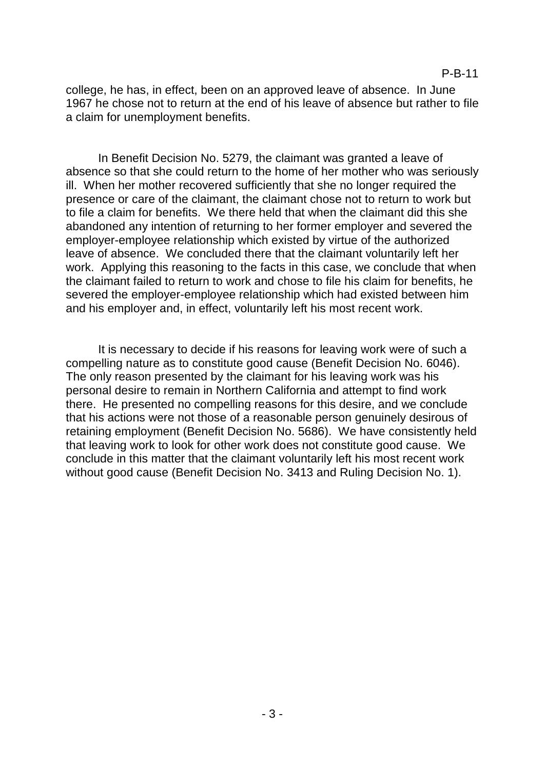college, he has, in effect, been on an approved leave of absence. In June 1967 he chose not to return at the end of his leave of absence but rather to file a claim for unemployment benefits.

In Benefit Decision No. 5279, the claimant was granted a leave of absence so that she could return to the home of her mother who was seriously ill. When her mother recovered sufficiently that she no longer required the presence or care of the claimant, the claimant chose not to return to work but to file a claim for benefits. We there held that when the claimant did this she abandoned any intention of returning to her former employer and severed the employer-employee relationship which existed by virtue of the authorized leave of absence. We concluded there that the claimant voluntarily left her work. Applying this reasoning to the facts in this case, we conclude that when the claimant failed to return to work and chose to file his claim for benefits, he severed the employer-employee relationship which had existed between him and his employer and, in effect, voluntarily left his most recent work.

It is necessary to decide if his reasons for leaving work were of such a compelling nature as to constitute good cause (Benefit Decision No. 6046). The only reason presented by the claimant for his leaving work was his personal desire to remain in Northern California and attempt to find work there. He presented no compelling reasons for this desire, and we conclude that his actions were not those of a reasonable person genuinely desirous of retaining employment (Benefit Decision No. 5686). We have consistently held that leaving work to look for other work does not constitute good cause. We conclude in this matter that the claimant voluntarily left his most recent work without good cause (Benefit Decision No. 3413 and Ruling Decision No. 1).